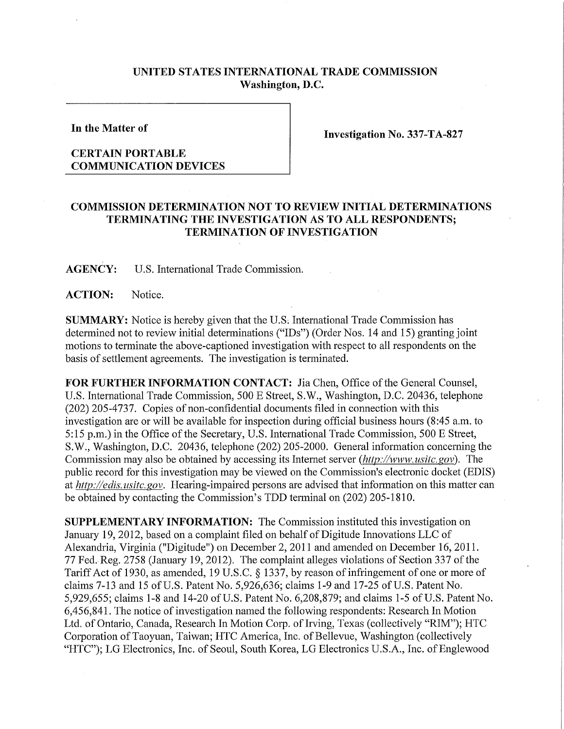## **UNITED STATES INTERNATIONAL TRADE COMMISSION Washington, D.C.**

**In the Matter of** 

## **CERTAIN PORTABLE COMMUNICATION DEVICES**

**Investigation No. 337-TA-827** 

## **COMMISSION DETERMINATION NOT TO REVIEW INITIAL DETERMINATIONS TERMINATING THE INVESTIGATION AS TO AL L RESPONDENTS; TERMINATION OF INVESTIGATION**

**AGENCY:** U.S. International Trade Commission.

**ACTION:** Notice.

**SUMMARY:** Notice is hereby given that the U.S; International Trade Commission has determined not to review initial determinations ("IDs") (Order Nos. 14 and 15) granting joint motions to terminate the above-captioned investigation with respect to all respondents on the basis of settlement agreements. The investigation is terminated.

**FOR FURTHER INFORMATION CONTACT:** Jia Chen, Office of the General Counsel, U.S. International Trade Commission, 500 E Street, S.W., Washington, D.C. 20436, telephone (202) 205-4737. Copies of non-confidential documents filed in connection with this investigation are or will be available for inspection during official business hours (8:45 a.m. to 5:15 p.m.) in the Office of the Secretary, U.S. International Trade Commission, 500 E Street, S.W., Washington, D.C. 20436, telephone (202) 205-2000. General information concerning the Commission may also be obtained by accessing its Internet server *(http://www, usitc. gov).* The public record for this investigation may be viewed on the Commission's electronic docket (EDIS) at *http://edis.usitc.gov.* Hearing-impaired persons are advised that information on this matter can be obtained by contacting the Commission's TDD terminal on (202) 205-1810.

**SUPPLEMENTARY INFORMATION:** The Commission instituted this investigation on January 19, 2012, based on a complaint filed on behalf of Digitude Innovations LLC of Alexandria, Virginia ("Digitude") on December 2, 2011 and amended on December 16, 2011. 77 Fed. Reg. 2758 (January 19, 2012). The complaint alleges violations of Section 337 of the Tariff Act of 1930, as amended, 19 U.S.C. § 1337, by reason of infringement of one or more of claims 7-13 and 15 of U.S. Patent No. 5,926,636; claims 1-9 and 17-25 of U.S. Patent No. 5,929,655; claims 1-8 and 14-20 of U.S. Patent No. 6,208,879; and claims 1-5 of U.S. Patent No. 6,456,841. The notice of investigation named the following respondents: Research In Motion Ltd. of Ontario, Canada, Research In Motion Corp. of Irving, Texas (collectively "RIM"); HTC Corporation of Taoyuan, Taiwan; HTC America, Inc. of Bellevue, Washington (collectively "HTC"); LG Electronics, Inc. of Seoul, South Korea, LG Electronics U.S.A., Inc. of Englewood